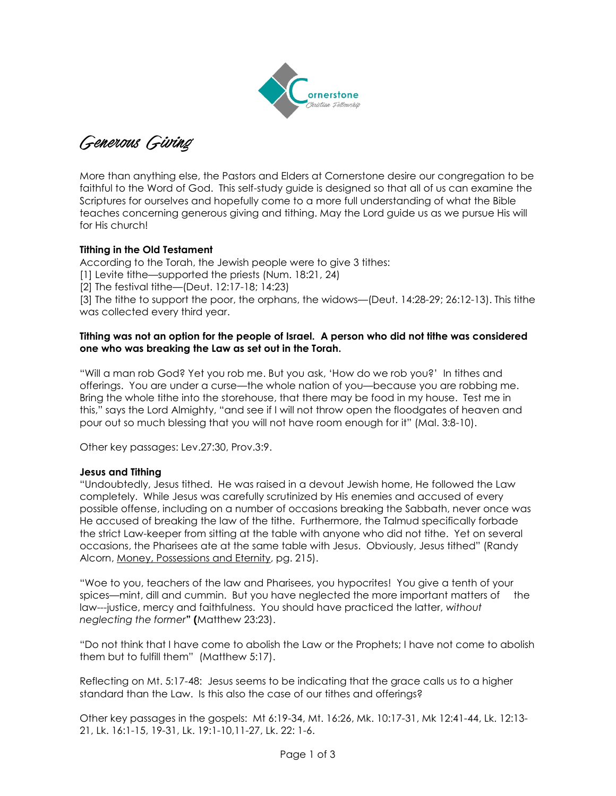

Generous Giving

More than anything else, the Pastors and Elders at Cornerstone desire our congregation to be faithful to the Word of God. This self-study guide is designed so that all of us can examine the Scriptures for ourselves and hopefully come to a more full understanding of what the Bible teaches concerning generous giving and tithing. May the Lord guide us as we pursue His will for His church!

## **Tithing in the Old Testament**

According to the Torah, the Jewish people were to give 3 tithes:

[1] Levite tithe—supported the priests (Num. 18:21, 24)

[2] The festival tithe—(Deut. 12:17-18; 14:23)

[3] The tithe to support the poor, the orphans, the widows—(Deut. 14:28-29; 26:12-13). This tithe was collected every third year.

#### **Tithing was not an option for the people of Israel. A person who did not tithe was considered one who was breaking the Law as set out in the Torah.**

"Will a man rob God? Yet you rob me. But you ask, 'How do we rob you?' In tithes and offerings. You are under a curse—the whole nation of you—because you are robbing me. Bring the whole tithe into the storehouse, that there may be food in my house. Test me in this," says the Lord Almighty, "and see if I will not throw open the floodgates of heaven and pour out so much blessing that you will not have room enough for it" (Mal. 3:8-10).

Other key passages: Lev.27:30, Prov.3:9.

#### **Jesus and Tithing**

"Undoubtedly, Jesus tithed. He was raised in a devout Jewish home, He followed the Law completely. While Jesus was carefully scrutinized by His enemies and accused of every possible offense, including on a number of occasions breaking the Sabbath, never once was He accused of breaking the law of the tithe. Furthermore, the Talmud specifically forbade the strict Law-keeper from sitting at the table with anyone who did not tithe. Yet on several occasions, the Pharisees ate at the same table with Jesus. Obviously, Jesus tithed" (Randy Alcorn, Money, Possessions and Eternity, pg. 215).

"Woe to you, teachers of the law and Pharisees, you hypocrites! You give a tenth of your spices—mint, dill and cummin. But you have neglected the more important matters of the law---justice, mercy and faithfulness. You should have practiced the latter, *without neglecting the former***" (**Matthew 23:23).

"Do not think that I have come to abolish the Law or the Prophets; I have not come to abolish them but to fulfill them" (Matthew 5:17).

Reflecting on Mt. 5:17-48: Jesus seems to be indicating that the grace calls us to a higher standard than the Law. Is this also the case of our tithes and offerings?

Other key passages in the gospels: Mt 6:19-34, Mt. 16:26, Mk. 10:17-31, Mk 12:41-44, Lk. 12:13- 21, Lk. 16:1-15, 19-31, Lk. 19:1-10,11-27, Lk. 22: 1-6.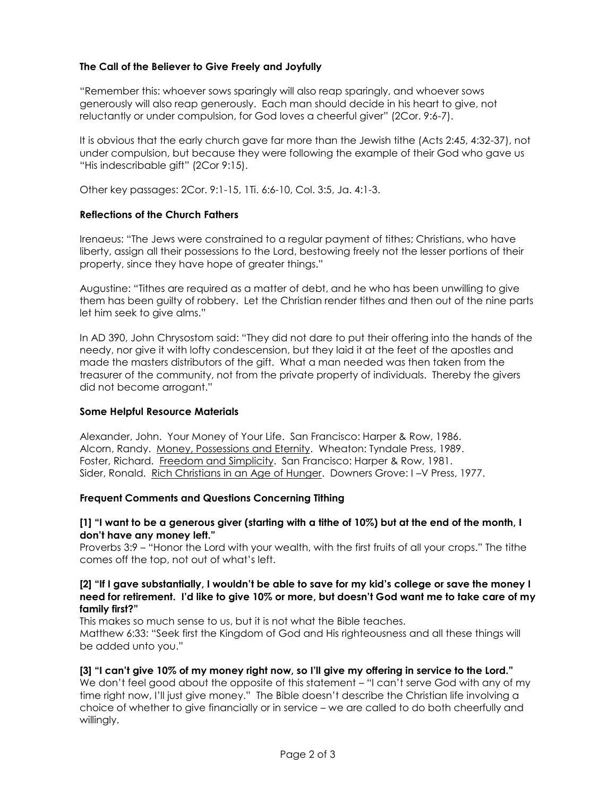# **The Call of the Believer to Give Freely and Joyfully**

"Remember this: whoever sows sparingly will also reap sparingly, and whoever sows generously will also reap generously. Each man should decide in his heart to give, not reluctantly or under compulsion, for God loves a cheerful giver" (2Cor. 9:6-7).

It is obvious that the early church gave far more than the Jewish tithe (Acts 2:45, 4:32-37), not under compulsion, but because they were following the example of their God who gave us "His indescribable gift" (2Cor 9:15).

Other key passages: 2Cor. 9:1-15, 1Ti. 6:6-10, Col. 3:5, Ja. 4:1-3.

#### **Reflections of the Church Fathers**

Irenaeus: "The Jews were constrained to a regular payment of tithes; Christians, who have liberty, assign all their possessions to the Lord, bestowing freely not the lesser portions of their property, since they have hope of greater things."

Augustine: "Tithes are required as a matter of debt, and he who has been unwilling to give them has been guilty of robbery. Let the Christian render tithes and then out of the nine parts let him seek to give alms."

In AD 390, John Chrysostom said: "They did not dare to put their offering into the hands of the needy, nor give it with lofty condescension, but they laid it at the feet of the apostles and made the masters distributors of the gift. What a man needed was then taken from the treasurer of the community, not from the private property of individuals. Thereby the givers did not become arrogant."

## **Some Helpful Resource Materials**

Alexander, John. Your Money of Your Life. San Francisco: Harper & Row, 1986. Alcorn, Randy. Money, Possessions and Eternity. Wheaton: Tyndale Press, 1989. Foster, Richard. Freedom and Simplicity. San Francisco: Harper & Row, 1981. Sider, Ronald. Rich Christians in an Age of Hunger. Downers Grove: I –V Press, 1977.

#### **Frequent Comments and Questions Concerning Tithing**

## **[1] "I want to be a generous giver (starting with a tithe of 10%) but at the end of the month, I don't have any money left."**

Proverbs 3:9 – "Honor the Lord with your wealth, with the first fruits of all your crops." The tithe comes off the top, not out of what's left.

#### **[2] "If I gave substantially, I wouldn't be able to save for my kid's college or save the money I need for retirement. I'd like to give 10% or more, but doesn't God want me to take care of my family first?"**

This makes so much sense to us, but it is not what the Bible teaches. Matthew 6:33: "Seek first the Kingdom of God and His righteousness and all these things will be added unto you."

## **[3] "I can't give 10% of my money right now, so I'll give my offering in service to the Lord."**

We don't feel good about the opposite of this statement – "I can't serve God with any of my time right now, I'll just give money." The Bible doesn't describe the Christian life involving a choice of whether to give financially or in service – we are called to do both cheerfully and willingly.